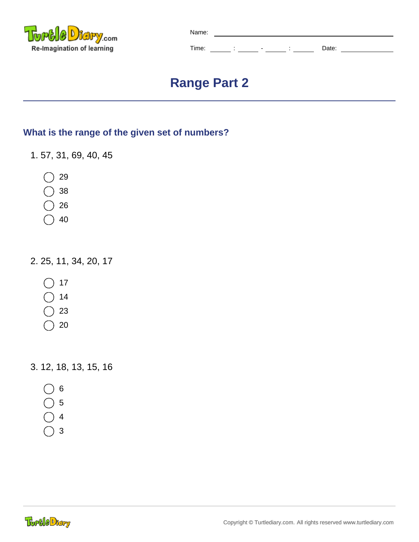

| Name: |                               |                          |  |       |  |
|-------|-------------------------------|--------------------------|--|-------|--|
| Time: | ٠<br>$\overline{\phantom{a}}$ | $\overline{\phantom{0}}$ |  | Date: |  |

## **Range Part 2**

## **What is the range of the given set of numbers?**

- 1. 57, 31, 69, 40, 45
	- 29
	- 38
	- 26
	- 40

2. 25, 11, 34, 20, 17

- 17
- 14
- 23
- 20

3. 12, 18, 13, 15, 16

- $6<sup>o</sup>$
- $\bigcirc$  5
- $\bigcirc$  4
- $\big)$  3

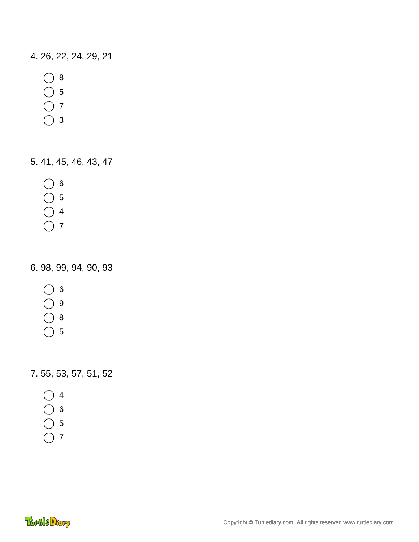4. 26, 22, 24, 29, 21

- $\bigcirc$  8
- 5
- 7
- 
- $\bigcirc$  3

5. 41, 45, 46, 43, 47

- $\bigcirc$  6
- 5
- 4
- $\bigcap$  7

6. 98, 99, 94, 90, 93

- $\bigcirc$  6
- $\bigcirc$  9
- $\bigcirc$  8
- $\bigcap$  5

7. 55, 53, 57, 51, 52

- 4
- 6
- 5
- $\bigcap$  7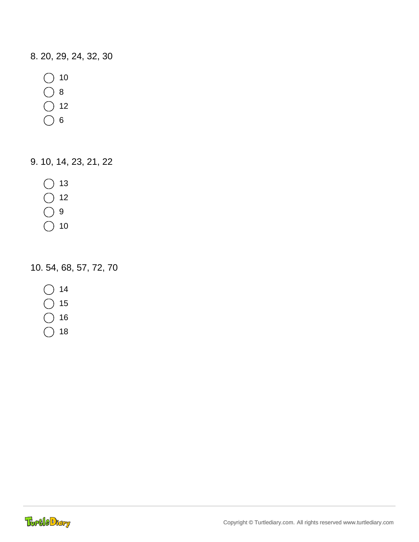8. 20, 29, 24, 32, 30

- $\bigcirc$  10
- $\bigcirc$  8
- $\overline{O}$  12
- $\bigcirc$  6

9. 10, 14, 23, 21, 22

- $\bigcap$  13
- $\bigcirc$  12
- $\bigcap$  9
- $\bigcap$  10

10. 54, 68, 57, 72, 70

- $\bigcap$  14
- 15
- 16
- $)$  18

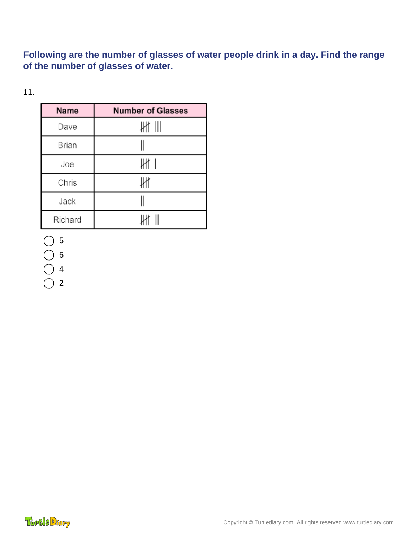**Following are the number of glasses of water people drink in a day. Find the range of the number of glasses of water.**

11.

| Name    | <b>Number of Glasses</b> |
|---------|--------------------------|
| Dave    | ₩ Ⅲ                      |
| Brian   |                          |
| Joe     | Jłł 1                    |
| Chris   | ₩                        |
| Jack    |                          |
| Richard |                          |

5

6

4

 $\bigcap$  2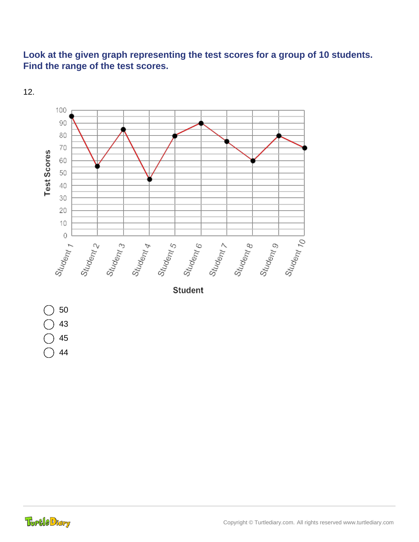## **Look at the given graph representing the test scores for a group of 10 students. Find the range of the test scores.**



12.

Toptle Diary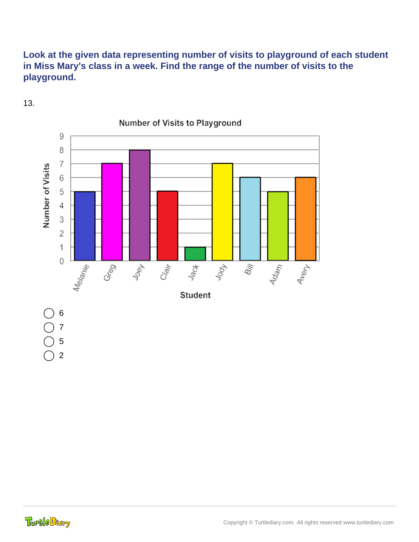## **Look at the given data representing number of visits to playground of each student in Miss Mary's class in a week. Find the range of the number of visits to the playground.**



13.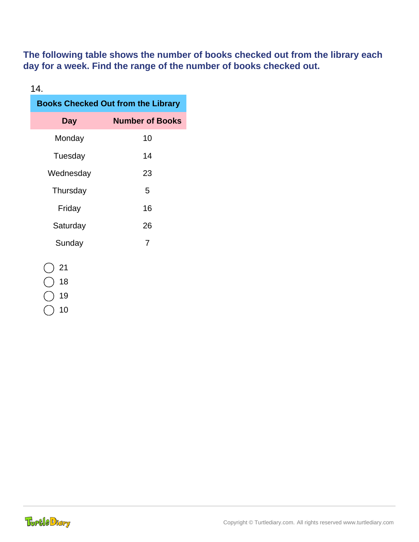**The following table shows the number of books checked out from the library each day for a week. Find the range of the number of books checked out.**

| 14.                                       |                        |  |  |  |  |  |
|-------------------------------------------|------------------------|--|--|--|--|--|
| <b>Books Checked Out from the Library</b> |                        |  |  |  |  |  |
| Day                                       | <b>Number of Books</b> |  |  |  |  |  |
| Monday                                    | 10                     |  |  |  |  |  |
| Tuesday                                   | 14                     |  |  |  |  |  |
| Wednesday                                 | 23                     |  |  |  |  |  |
| Thursday                                  | 5                      |  |  |  |  |  |
| Friday                                    | 16                     |  |  |  |  |  |
| Saturday                                  | 26                     |  |  |  |  |  |
| Sunday                                    | 7                      |  |  |  |  |  |
| 21<br>1 O                                 |                        |  |  |  |  |  |

()18

 $)$  19

10